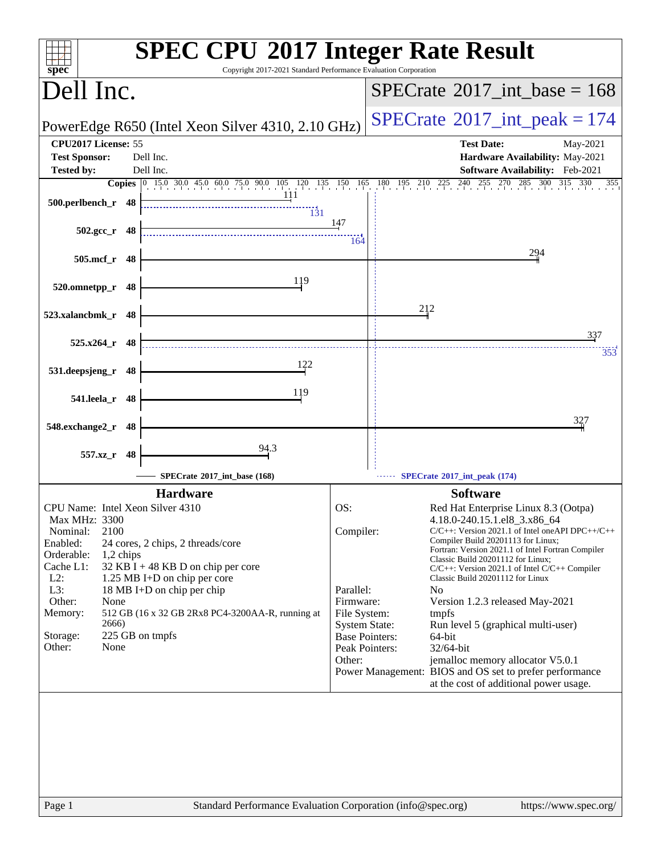| <b>SPEC CPU®2017 Integer Rate Result</b><br>Copyright 2017-2021 Standard Performance Evaluation Corporation<br>spec <sup>®</sup>                                                                                                                                                                                                                                                                                                         |                                                                                                                                         |                                                                                                                                                                                                                                                                                                                                                                                                                                                                                                                                                                                                                           |
|------------------------------------------------------------------------------------------------------------------------------------------------------------------------------------------------------------------------------------------------------------------------------------------------------------------------------------------------------------------------------------------------------------------------------------------|-----------------------------------------------------------------------------------------------------------------------------------------|---------------------------------------------------------------------------------------------------------------------------------------------------------------------------------------------------------------------------------------------------------------------------------------------------------------------------------------------------------------------------------------------------------------------------------------------------------------------------------------------------------------------------------------------------------------------------------------------------------------------------|
| Dell Inc.                                                                                                                                                                                                                                                                                                                                                                                                                                |                                                                                                                                         | $SPECrate^{\circ}2017\_int\_base = 168$                                                                                                                                                                                                                                                                                                                                                                                                                                                                                                                                                                                   |
| PowerEdge R650 (Intel Xeon Silver 4310, 2.10 GHz)                                                                                                                                                                                                                                                                                                                                                                                        |                                                                                                                                         | $SPECrate^{\circ}2017\_int\_peak = 174$                                                                                                                                                                                                                                                                                                                                                                                                                                                                                                                                                                                   |
| CPU2017 License: 55<br><b>Test Sponsor:</b><br>Dell Inc.<br>Dell Inc.<br><b>Tested by:</b>                                                                                                                                                                                                                                                                                                                                               |                                                                                                                                         | <b>Test Date:</b><br>May-2021<br>Hardware Availability: May-2021<br>Software Availability: Feb-2021                                                                                                                                                                                                                                                                                                                                                                                                                                                                                                                       |
| <b>Copies</b> $\begin{bmatrix} 0 & 15.0 & 30.0 & 45.0 & 60.0 & 75.0 & 90.0 & 105 & 120 & 135 & 150 & 165 & 180 & 195 & 210 & 225 & 240 & 255 & 270 & 285 & 300 & 315 & 330 \end{bmatrix}$                                                                                                                                                                                                                                                |                                                                                                                                         | 355                                                                                                                                                                                                                                                                                                                                                                                                                                                                                                                                                                                                                       |
| 111<br>500.perlbench_r 48<br>$\overline{131}$                                                                                                                                                                                                                                                                                                                                                                                            |                                                                                                                                         |                                                                                                                                                                                                                                                                                                                                                                                                                                                                                                                                                                                                                           |
| $502.\text{gcc r}$ 48                                                                                                                                                                                                                                                                                                                                                                                                                    | 147<br>164                                                                                                                              |                                                                                                                                                                                                                                                                                                                                                                                                                                                                                                                                                                                                                           |
| 505.mcf_r 48                                                                                                                                                                                                                                                                                                                                                                                                                             |                                                                                                                                         | 294                                                                                                                                                                                                                                                                                                                                                                                                                                                                                                                                                                                                                       |
| 119<br>520.omnetpp_r<br>48                                                                                                                                                                                                                                                                                                                                                                                                               |                                                                                                                                         |                                                                                                                                                                                                                                                                                                                                                                                                                                                                                                                                                                                                                           |
| 523.xalancbmk_r 48                                                                                                                                                                                                                                                                                                                                                                                                                       |                                                                                                                                         | 212                                                                                                                                                                                                                                                                                                                                                                                                                                                                                                                                                                                                                       |
| $525.x264$ r 48                                                                                                                                                                                                                                                                                                                                                                                                                          |                                                                                                                                         | 337<br>353                                                                                                                                                                                                                                                                                                                                                                                                                                                                                                                                                                                                                |
| 122<br>531.deepsjeng_r 48                                                                                                                                                                                                                                                                                                                                                                                                                |                                                                                                                                         |                                                                                                                                                                                                                                                                                                                                                                                                                                                                                                                                                                                                                           |
| 119<br>541.leela_r 48                                                                                                                                                                                                                                                                                                                                                                                                                    |                                                                                                                                         |                                                                                                                                                                                                                                                                                                                                                                                                                                                                                                                                                                                                                           |
| 548.exchange2_r<br>48                                                                                                                                                                                                                                                                                                                                                                                                                    |                                                                                                                                         | 327                                                                                                                                                                                                                                                                                                                                                                                                                                                                                                                                                                                                                       |
| 94.3<br>557.xz_r<br>48                                                                                                                                                                                                                                                                                                                                                                                                                   |                                                                                                                                         |                                                                                                                                                                                                                                                                                                                                                                                                                                                                                                                                                                                                                           |
| SPECrate*2017_int_base (168)                                                                                                                                                                                                                                                                                                                                                                                                             |                                                                                                                                         | SPECrate*2017_int_peak (174)                                                                                                                                                                                                                                                                                                                                                                                                                                                                                                                                                                                              |
| <b>Hardware</b>                                                                                                                                                                                                                                                                                                                                                                                                                          |                                                                                                                                         | <b>Software</b>                                                                                                                                                                                                                                                                                                                                                                                                                                                                                                                                                                                                           |
| CPU Name: Intel Xeon Silver 4310<br><b>Max MHz: 3300</b><br>2100<br>Nominal:<br>Enabled:<br>24 cores, 2 chips, 2 threads/core<br>Orderable:<br>1,2 chips<br>Cache L1:<br>32 KB I + 48 KB D on chip per core<br>$L2$ :<br>1.25 MB I+D on chip per core<br>$L3$ :<br>18 MB I+D on chip per chip<br>Other:<br>None<br>Memory:<br>512 GB (16 x 32 GB 2Rx8 PC4-3200AA-R, running at<br>2666)<br>225 GB on tmpfs<br>Storage:<br>None<br>Other: | OS:<br>Compiler:<br>Parallel:<br>Firmware:<br>File System:<br><b>System State:</b><br><b>Base Pointers:</b><br>Peak Pointers:<br>Other: | Red Hat Enterprise Linux 8.3 (Ootpa)<br>4.18.0-240.15.1.el8_3.x86_64<br>$C/C++$ : Version 2021.1 of Intel one API DPC++/C++<br>Compiler Build 20201113 for Linux;<br>Fortran: Version 2021.1 of Intel Fortran Compiler<br>Classic Build 20201112 for Linux;<br>$C/C++$ : Version 2021.1 of Intel $C/C++$ Compiler<br>Classic Build 20201112 for Linux<br>N <sub>0</sub><br>Version 1.2.3 released May-2021<br>tmpfs<br>Run level 5 (graphical multi-user)<br>64-bit<br>32/64-bit<br>jemalloc memory allocator V5.0.1<br>Power Management: BIOS and OS set to prefer performance<br>at the cost of additional power usage. |
| Standard Performance Evaluation Corporation (info@spec.org)<br>Page 1                                                                                                                                                                                                                                                                                                                                                                    |                                                                                                                                         | https://www.spec.org/                                                                                                                                                                                                                                                                                                                                                                                                                                                                                                                                                                                                     |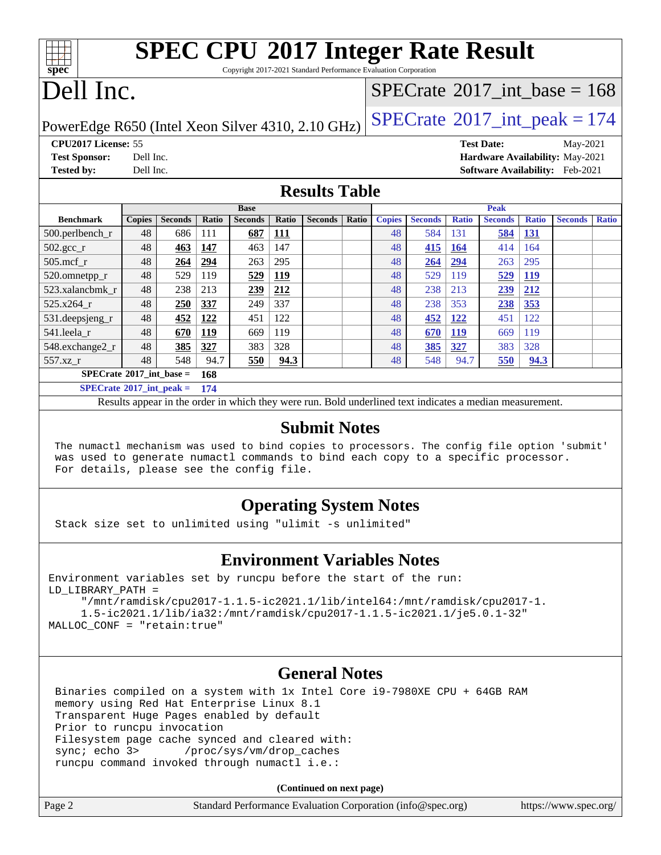| <b>SPEC CPU®2017 Integer Rate Result</b>                        |  |
|-----------------------------------------------------------------|--|
| Conveight 2017 2021 Standard Decformance Evaluation Corneration |  |

Copyright 2017-2021

# Dell Inc.

**[spec](http://www.spec.org/)**

### $SPECTate$ <sup>®</sup>[2017\\_int\\_base =](http://www.spec.org/auto/cpu2017/Docs/result-fields.html#SPECrate2017intbase) 168

PowerEdge R650 (Intel Xeon Silver 4310, 2.10 GHz)  $\left|$  [SPECrate](http://www.spec.org/auto/cpu2017/Docs/result-fields.html#SPECrate2017intpeak)<sup>®</sup>[2017\\_int\\_peak = 1](http://www.spec.org/auto/cpu2017/Docs/result-fields.html#SPECrate2017intpeak)74

**[CPU2017 License:](http://www.spec.org/auto/cpu2017/Docs/result-fields.html#CPU2017License)** 55 **[Test Date:](http://www.spec.org/auto/cpu2017/Docs/result-fields.html#TestDate)** May-2021

**[Test Sponsor:](http://www.spec.org/auto/cpu2017/Docs/result-fields.html#TestSponsor)** Dell Inc. **[Hardware Availability:](http://www.spec.org/auto/cpu2017/Docs/result-fields.html#HardwareAvailability)** May-2021 **[Tested by:](http://www.spec.org/auto/cpu2017/Docs/result-fields.html#Testedby)** Dell Inc. **[Software Availability:](http://www.spec.org/auto/cpu2017/Docs/result-fields.html#SoftwareAvailability)** Feb-2021

#### **[Results Table](http://www.spec.org/auto/cpu2017/Docs/result-fields.html#ResultsTable)**

|                                   | <b>Base</b>   |                |            |                | <b>Peak</b> |                |       |               |                |              |                |              |                |              |
|-----------------------------------|---------------|----------------|------------|----------------|-------------|----------------|-------|---------------|----------------|--------------|----------------|--------------|----------------|--------------|
| <b>Benchmark</b>                  | <b>Copies</b> | <b>Seconds</b> | Ratio      | <b>Seconds</b> | Ratio       | <b>Seconds</b> | Ratio | <b>Copies</b> | <b>Seconds</b> | <b>Ratio</b> | <b>Seconds</b> | <b>Ratio</b> | <b>Seconds</b> | <b>Ratio</b> |
| $500.$ perlbench_r                | 48            | 686            | 111        | 687            | <b>111</b>  |                |       | 48            | 584            | 131          | 584            | 131          |                |              |
| $502.\text{gcc}$ <sub>r</sub>     | 48            | 463            | 147        | 463            | 147         |                |       | 48            | <b>415</b>     | <u>164</u>   | 414            | 164          |                |              |
| $505$ .mcf r                      | 48            | 264            | 294        | 263            | 295         |                |       | 48            | 264            | 294          | 263            | 295          |                |              |
| 520.omnetpp_r                     | 48            | 529            | 119        | 529            | <b>119</b>  |                |       | 48            | 529            | 119          | 529            | <u>119</u>   |                |              |
| 523.xalancbmk r                   | 48            | 238            | 213        | 239            | 212         |                |       | 48            | 238            | 213          | 239            | <u>212</u>   |                |              |
| 525.x264 r                        | 48            | 250            | 337        | 249            | 337         |                |       | 48            | 238            | 353          | 238            | 353          |                |              |
| 531.deepsjeng_r                   | 48            | 452            | 122        | 451            | 122         |                |       | 48            | 452            | <u>122</u>   | 451            | 122          |                |              |
| 541.leela r                       | 48            | 670            | <u>119</u> | 669            | 119         |                |       | 48            | 670            | <u>119</u>   | 669            | 119          |                |              |
| 548.exchange2_r                   | 48            | 385            | 327        | 383            | 328         |                |       | 48            | 385            | 327          | 383            | 328          |                |              |
| 557.xz r                          | 48            | 548            | 94.7       | 550            | 94.3        |                |       | 48            | 548            | 94.7         | 550            | 94.3         |                |              |
| $SPECrate^{\circ}2017$ int base = |               |                | 168        |                |             |                |       |               |                |              |                |              |                |              |
| $SPECrate^{\circ}2017$ int peak = |               |                | 174        |                |             |                |       |               |                |              |                |              |                |              |

Results appear in the [order in which they were run.](http://www.spec.org/auto/cpu2017/Docs/result-fields.html#RunOrder) Bold underlined text [indicates a median measurement.](http://www.spec.org/auto/cpu2017/Docs/result-fields.html#Median)

#### **[Submit Notes](http://www.spec.org/auto/cpu2017/Docs/result-fields.html#SubmitNotes)**

 The numactl mechanism was used to bind copies to processors. The config file option 'submit' was used to generate numactl commands to bind each copy to a specific processor. For details, please see the config file.

### **[Operating System Notes](http://www.spec.org/auto/cpu2017/Docs/result-fields.html#OperatingSystemNotes)**

Stack size set to unlimited using "ulimit -s unlimited"

### **[Environment Variables Notes](http://www.spec.org/auto/cpu2017/Docs/result-fields.html#EnvironmentVariablesNotes)**

```
Environment variables set by runcpu before the start of the run:
LD_LIBRARY_PATH =
      "/mnt/ramdisk/cpu2017-1.1.5-ic2021.1/lib/intel64:/mnt/ramdisk/cpu2017-1.
      1.5-ic2021.1/lib/ia32:/mnt/ramdisk/cpu2017-1.1.5-ic2021.1/je5.0.1-32"
MALLOC_CONF = "retain:true"
```
### **[General Notes](http://www.spec.org/auto/cpu2017/Docs/result-fields.html#GeneralNotes)**

 Binaries compiled on a system with 1x Intel Core i9-7980XE CPU + 64GB RAM memory using Red Hat Enterprise Linux 8.1 Transparent Huge Pages enabled by default Prior to runcpu invocation Filesystem page cache synced and cleared with: sync; echo 3> /proc/sys/vm/drop\_caches runcpu command invoked through numactl i.e.:

**(Continued on next page)**

| Page 2 | Standard Performance Evaluation Corporation (info@spec.org) | https://www.spec.org/ |
|--------|-------------------------------------------------------------|-----------------------|
|        |                                                             |                       |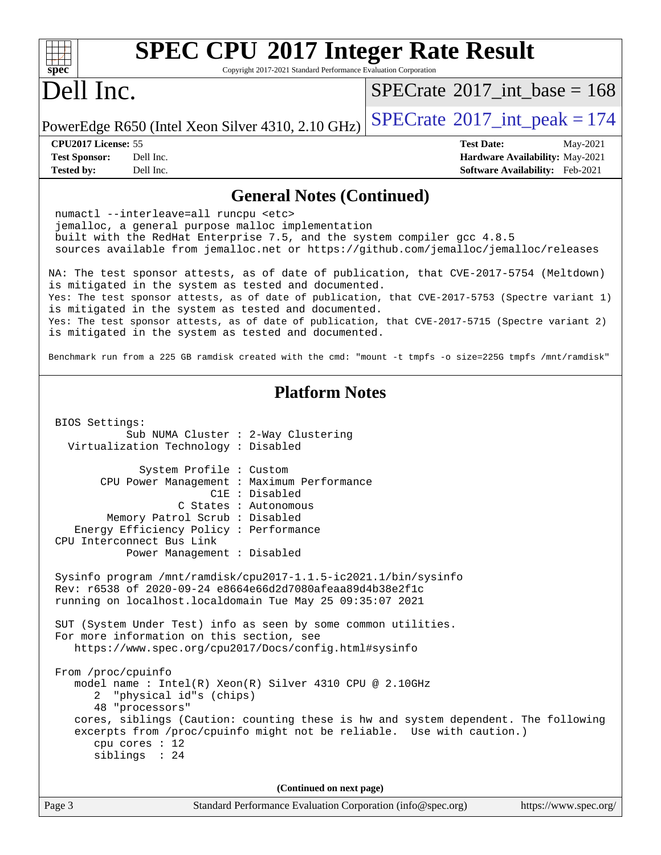| <b>SPEC CPU®2017 Integer Rate Result</b><br>Copyright 2017-2021 Standard Performance Evaluation Corporation<br>$spec^*$                                                                                                                                                                                                                                                                                                                                                                                                                                                                                                                                                                                                                                                                                                                                                                                                                                                                                                                                              |                                                                                                            |
|----------------------------------------------------------------------------------------------------------------------------------------------------------------------------------------------------------------------------------------------------------------------------------------------------------------------------------------------------------------------------------------------------------------------------------------------------------------------------------------------------------------------------------------------------------------------------------------------------------------------------------------------------------------------------------------------------------------------------------------------------------------------------------------------------------------------------------------------------------------------------------------------------------------------------------------------------------------------------------------------------------------------------------------------------------------------|------------------------------------------------------------------------------------------------------------|
| Dell Inc.                                                                                                                                                                                                                                                                                                                                                                                                                                                                                                                                                                                                                                                                                                                                                                                                                                                                                                                                                                                                                                                            | $SPECTate$ <sup>®</sup> 2017_int_base = 168                                                                |
| PowerEdge R650 (Intel Xeon Silver 4310, 2.10 GHz)                                                                                                                                                                                                                                                                                                                                                                                                                                                                                                                                                                                                                                                                                                                                                                                                                                                                                                                                                                                                                    | $SPECrate^{\circ}2017\_int\_peak = 174$                                                                    |
| CPU2017 License: 55<br><b>Test Sponsor:</b><br>Dell Inc.<br>Dell Inc.<br><b>Tested by:</b>                                                                                                                                                                                                                                                                                                                                                                                                                                                                                                                                                                                                                                                                                                                                                                                                                                                                                                                                                                           | <b>Test Date:</b><br>May-2021<br>Hardware Availability: May-2021<br><b>Software Availability:</b> Feb-2021 |
| <b>General Notes (Continued)</b>                                                                                                                                                                                                                                                                                                                                                                                                                                                                                                                                                                                                                                                                                                                                                                                                                                                                                                                                                                                                                                     |                                                                                                            |
| numactl --interleave=all runcpu <etc><br/>jemalloc, a general purpose malloc implementation<br/>built with the RedHat Enterprise 7.5, and the system compiler gcc 4.8.5<br/>sources available from jemalloc.net or https://github.com/jemalloc/jemalloc/releases</etc>                                                                                                                                                                                                                                                                                                                                                                                                                                                                                                                                                                                                                                                                                                                                                                                               |                                                                                                            |
| NA: The test sponsor attests, as of date of publication, that CVE-2017-5754 (Meltdown)<br>is mitigated in the system as tested and documented.                                                                                                                                                                                                                                                                                                                                                                                                                                                                                                                                                                                                                                                                                                                                                                                                                                                                                                                       |                                                                                                            |
| Yes: The test sponsor attests, as of date of publication, that CVE-2017-5753 (Spectre variant 1)<br>is mitigated in the system as tested and documented.<br>Yes: The test sponsor attests, as of date of publication, that CVE-2017-5715 (Spectre variant 2)<br>is mitigated in the system as tested and documented.                                                                                                                                                                                                                                                                                                                                                                                                                                                                                                                                                                                                                                                                                                                                                 |                                                                                                            |
| Benchmark run from a 225 GB ramdisk created with the cmd: "mount -t tmpfs -o size=225G tmpfs /mnt/ramdisk"                                                                                                                                                                                                                                                                                                                                                                                                                                                                                                                                                                                                                                                                                                                                                                                                                                                                                                                                                           |                                                                                                            |
| <b>Platform Notes</b>                                                                                                                                                                                                                                                                                                                                                                                                                                                                                                                                                                                                                                                                                                                                                                                                                                                                                                                                                                                                                                                |                                                                                                            |
| BIOS Settings:<br>Sub NUMA Cluster : 2-Way Clustering<br>Virtualization Technology : Disabled<br>System Profile : Custom<br>CPU Power Management : Maximum Performance<br>C1E : Disabled<br>C States : Autonomous<br>Memory Patrol Scrub: Disabled<br>Energy Efficiency Policy : Performance<br>CPU Interconnect Bus Link<br>Power Management : Disabled<br>Sysinfo program /mnt/ramdisk/cpu2017-1.1.5-ic2021.1/bin/sysinfo<br>Rev: r6538 of 2020-09-24 e8664e66d2d7080afeaa89d4b38e2f1c<br>running on localhost.localdomain Tue May 25 09:35:07 2021<br>SUT (System Under Test) info as seen by some common utilities.<br>For more information on this section, see<br>https://www.spec.org/cpu2017/Docs/config.html#sysinfo<br>From /proc/cpuinfo<br>model name : Intel(R) Xeon(R) Silver 4310 CPU @ 2.10GHz<br>"physical id"s (chips)<br>2<br>48 "processors"<br>cores, siblings (Caution: counting these is hw and system dependent. The following<br>excerpts from /proc/cpuinfo might not be reliable. Use with caution.)<br>cpu cores $: 12$<br>siblings : 24 |                                                                                                            |
| (Continued on next page)                                                                                                                                                                                                                                                                                                                                                                                                                                                                                                                                                                                                                                                                                                                                                                                                                                                                                                                                                                                                                                             |                                                                                                            |
| Page 3<br>Standard Performance Evaluation Corporation (info@spec.org)                                                                                                                                                                                                                                                                                                                                                                                                                                                                                                                                                                                                                                                                                                                                                                                                                                                                                                                                                                                                | https://www.spec.org/                                                                                      |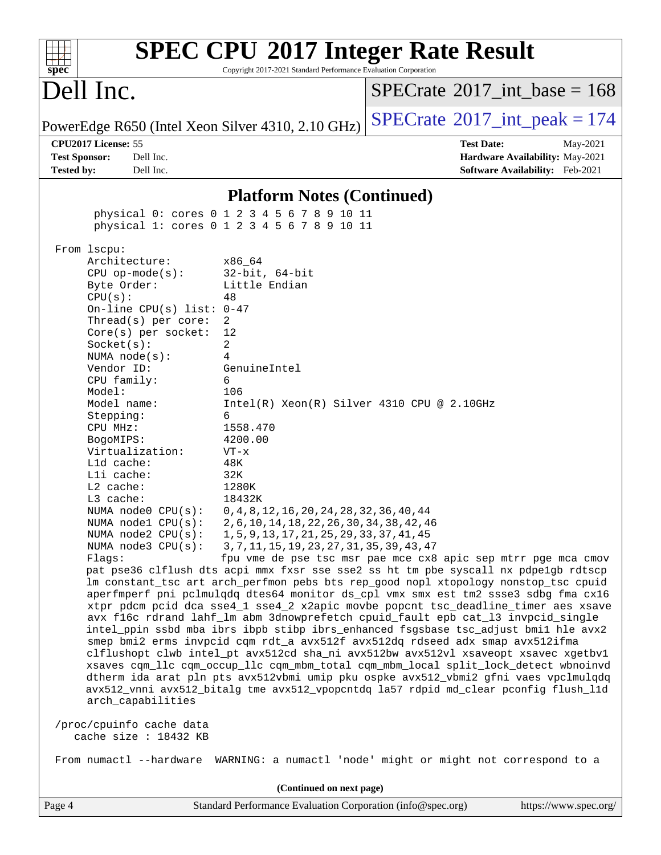| spec <sup>®</sup>                                                   | Copyright 2017-2021 Standard Performance Evaluation Corporation                             | <b>SPEC CPU®2017 Integer Rate Result</b>                                                                                                                                   |
|---------------------------------------------------------------------|---------------------------------------------------------------------------------------------|----------------------------------------------------------------------------------------------------------------------------------------------------------------------------|
| Dell Inc.                                                           |                                                                                             | $SPECrate^{\circledast}2017$ int base = 168                                                                                                                                |
| PowerEdge R650 (Intel Xeon Silver 4310, 2.10 GHz)                   |                                                                                             | $SPECTate@2017_int\_peak = 174$                                                                                                                                            |
| CPU2017 License: 55                                                 |                                                                                             | <b>Test Date:</b><br>May-2021                                                                                                                                              |
| Dell Inc.<br><b>Test Sponsor:</b><br>Dell Inc.<br><b>Tested by:</b> |                                                                                             | Hardware Availability: May-2021<br>Software Availability: Feb-2021                                                                                                         |
|                                                                     |                                                                                             |                                                                                                                                                                            |
|                                                                     | <b>Platform Notes (Continued)</b>                                                           |                                                                                                                                                                            |
|                                                                     | physical 0: cores 0 1 2 3 4 5 6 7 8 9 10 11<br>physical 1: cores 0 1 2 3 4 5 6 7 8 9 10 11  |                                                                                                                                                                            |
| From 1scpu:                                                         |                                                                                             |                                                                                                                                                                            |
| Architecture:                                                       | x86 64                                                                                      |                                                                                                                                                                            |
| $CPU$ op-mode( $s$ ):<br>Byte Order:                                | $32$ -bit, $64$ -bit<br>Little Endian                                                       |                                                                                                                                                                            |
| CPU(s):                                                             | 48                                                                                          |                                                                                                                                                                            |
| On-line CPU(s) list: $0-47$                                         |                                                                                             |                                                                                                                                                                            |
| Thread(s) per core:<br>$Core(s)$ per socket:                        | 2<br>12                                                                                     |                                                                                                                                                                            |
| Socket(s):                                                          | 2                                                                                           |                                                                                                                                                                            |
| NUMA $node(s):$                                                     | 4                                                                                           |                                                                                                                                                                            |
| Vendor ID:<br>CPU family:                                           | GenuineIntel<br>6                                                                           |                                                                                                                                                                            |
| Model:                                                              | 106                                                                                         |                                                                                                                                                                            |
| Model name:                                                         | $Intel(R) Xeon(R) Silver 4310 CPU @ 2.10GHz$                                                |                                                                                                                                                                            |
| Stepping:<br>CPU MHz:                                               | 6<br>1558.470                                                                               |                                                                                                                                                                            |
| BogoMIPS:                                                           | 4200.00                                                                                     |                                                                                                                                                                            |
| Virtualization:                                                     | $VT - x$                                                                                    |                                                                                                                                                                            |
| L1d cache:<br>Lli cache:                                            | 48K<br>32K                                                                                  |                                                                                                                                                                            |
| $L2$ cache:                                                         | 1280K                                                                                       |                                                                                                                                                                            |
| L3 cache:                                                           | 18432K                                                                                      |                                                                                                                                                                            |
| NUMA $node0$ $CPU(s):$                                              | 0, 4, 8, 12, 16, 20, 24, 28, 32, 36, 40, 44                                                 |                                                                                                                                                                            |
| NUMA nodel CPU(s):<br>NUMA $node2$ $CPU(s):$                        | 2, 6, 10, 14, 18, 22, 26, 30, 34, 38, 42, 46<br>1, 5, 9, 13, 17, 21, 25, 29, 33, 37, 41, 45 |                                                                                                                                                                            |
| NUMA node3 CPU(s):                                                  | 3, 7, 11, 15, 19, 23, 27, 31, 35, 39, 43, 47                                                |                                                                                                                                                                            |
| Flags:                                                              |                                                                                             | fpu vme de pse tsc msr pae mce cx8 apic sep mtrr pge mca cmov                                                                                                              |
|                                                                     |                                                                                             | pat pse36 clflush dts acpi mmx fxsr sse sse2 ss ht tm pbe syscall nx pdpelgb rdtscp<br>lm constant_tsc art arch_perfmon pebs bts rep_good nopl xtopology nonstop_tsc cpuid |
|                                                                     |                                                                                             | aperfmperf pni pclmulqdq dtes64 monitor ds_cpl vmx smx est tm2 ssse3 sdbg fma cx16                                                                                         |
|                                                                     |                                                                                             | xtpr pdcm pcid dca sse4_1 sse4_2 x2apic movbe popcnt tsc_deadline_timer aes xsave                                                                                          |
|                                                                     |                                                                                             | avx f16c rdrand lahf_lm abm 3dnowprefetch cpuid_fault epb cat_13 invpcid_single<br>intel_ppin ssbd mba ibrs ibpb stibp ibrs_enhanced fsgsbase tsc_adjust bmil hle avx2     |
|                                                                     |                                                                                             | smep bmi2 erms invpcid cqm rdt_a avx512f avx512dq rdseed adx smap avx512ifma                                                                                               |
|                                                                     |                                                                                             | clflushopt clwb intel_pt avx512cd sha_ni avx512bw avx512vl xsaveopt xsavec xgetbvl                                                                                         |
|                                                                     |                                                                                             | xsaves cqm_llc cqm_occup_llc cqm_mbm_total cqm_mbm_local split_lock_detect wbnoinvd<br>dtherm ida arat pln pts avx512vbmi umip pku ospke avx512_vbmi2 gfni vaes vpclmulqdq |
| arch_capabilities                                                   |                                                                                             | avx512_vnni avx512_bitalg tme avx512_vpopcntdq la57 rdpid md_clear pconfig flush_l1d                                                                                       |
| /proc/cpuinfo cache data<br>cache size : 18432 KB                   |                                                                                             |                                                                                                                                                                            |
|                                                                     |                                                                                             | From numactl --hardware WARNING: a numactl 'node' might or might not correspond to a                                                                                       |
|                                                                     | (Continued on next page)                                                                    |                                                                                                                                                                            |
|                                                                     |                                                                                             |                                                                                                                                                                            |

Page 4 Standard Performance Evaluation Corporation [\(info@spec.org\)](mailto:info@spec.org) <https://www.spec.org/>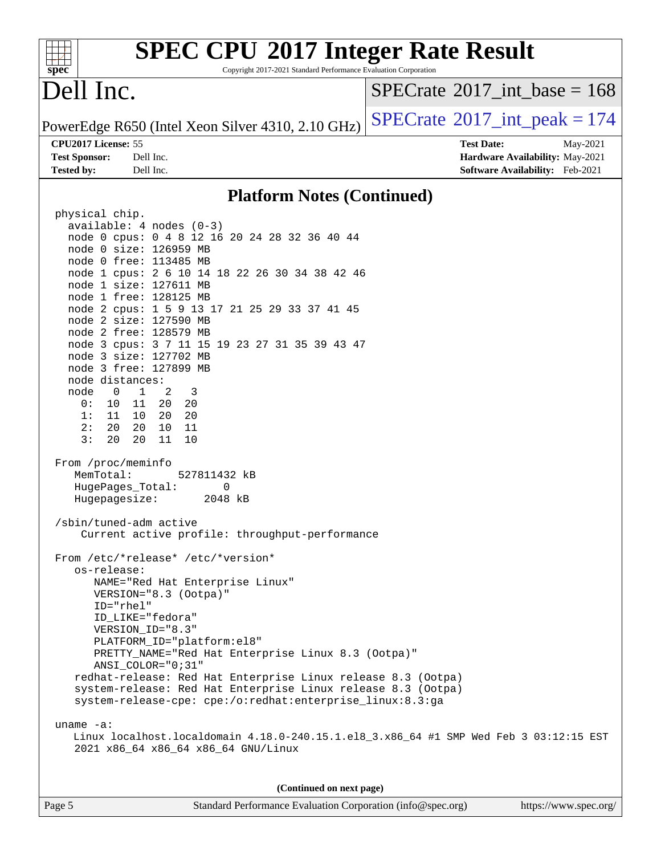| <b>SPEC CPU®2017 Integer Rate Result</b><br>spec <sup>®</sup><br>Copyright 2017-2021 Standard Performance Evaluation Corporation |                                         |
|----------------------------------------------------------------------------------------------------------------------------------|-----------------------------------------|
| Dell Inc.                                                                                                                        | $SPECrate^{\circ}2017\_int\_base = 168$ |
| PowerEdge R650 (Intel Xeon Silver 4310, 2.10 GHz)                                                                                | $SPECTate@2017_int\_peak = 174$         |
| CPU2017 License: 55                                                                                                              | <b>Test Date:</b><br>May-2021           |
| <b>Test Sponsor:</b><br>Dell Inc.                                                                                                | Hardware Availability: May-2021         |
| <b>Tested by:</b><br>Dell Inc.                                                                                                   | Software Availability: Feb-2021         |
| <b>Platform Notes (Continued)</b>                                                                                                |                                         |
| physical chip.                                                                                                                   |                                         |
| $available: 4 nodes (0-3)$                                                                                                       |                                         |
| node 0 cpus: 0 4 8 12 16 20 24 28 32 36 40 44                                                                                    |                                         |
| node 0 size: 126959 MB                                                                                                           |                                         |
| node 0 free: 113485 MB                                                                                                           |                                         |
| node 1 cpus: 2 6 10 14 18 22 26 30 34 38 42 46                                                                                   |                                         |
| node 1 size: 127611 MB<br>node 1 free: 128125 MB                                                                                 |                                         |
| node 2 cpus: 1 5 9 13 17 21 25 29 33 37 41 45                                                                                    |                                         |
| node 2 size: 127590 MB                                                                                                           |                                         |
| node 2 free: 128579 MB                                                                                                           |                                         |
| node 3 cpus: 3 7 11 15 19 23 27 31 35 39 43 47                                                                                   |                                         |
| node 3 size: 127702 MB                                                                                                           |                                         |
| node 3 free: 127899 MB                                                                                                           |                                         |
| node distances:<br>$\overline{0}$<br>$\mathbf{1}$<br>2<br>node<br>3                                                              |                                         |
| 11<br>20<br>20<br>0 :<br>10                                                                                                      |                                         |
| 20<br>11<br>10<br>20<br>1:                                                                                                       |                                         |
| 20<br>20<br>11<br>2:<br>10                                                                                                       |                                         |
| 3:<br>20<br>20<br>11<br>10                                                                                                       |                                         |
| From /proc/meminfo                                                                                                               |                                         |
| MemTotal:<br>527811432 kB                                                                                                        |                                         |
| HugePages_Total:<br>0                                                                                                            |                                         |
| Hugepagesize:<br>2048 kB                                                                                                         |                                         |
| /sbin/tuned-adm active                                                                                                           |                                         |
| Current active profile: throughput-performance                                                                                   |                                         |
| From /etc/*release* /etc/*version*                                                                                               |                                         |
| os-release:                                                                                                                      |                                         |
| NAME="Red Hat Enterprise Linux"<br>VERSION="8.3 (Ootpa)"                                                                         |                                         |
| ID="rhel"                                                                                                                        |                                         |
| ID LIKE="fedora"                                                                                                                 |                                         |
| VERSION_ID="8.3"                                                                                                                 |                                         |
| PLATFORM_ID="platform:el8"                                                                                                       |                                         |
| PRETTY_NAME="Red Hat Enterprise Linux 8.3 (Ootpa)"<br>ANSI_COLOR="0;31"                                                          |                                         |
| redhat-release: Red Hat Enterprise Linux release 8.3 (Ootpa)                                                                     |                                         |
| system-release: Red Hat Enterprise Linux release 8.3 (Ootpa)                                                                     |                                         |
| system-release-cpe: cpe:/o:redhat:enterprise_linux:8.3:ga                                                                        |                                         |
| uname $-a$ :                                                                                                                     |                                         |
| Linux localhost.localdomain 4.18.0-240.15.1.el8_3.x86_64 #1 SMP Wed Feb 3 03:12:15 EST                                           |                                         |
| 2021 x86_64 x86_64 x86_64 GNU/Linux                                                                                              |                                         |
|                                                                                                                                  |                                         |
| (Continued on next page)                                                                                                         |                                         |
| Page 5<br>Standard Performance Evaluation Corporation (info@spec.org)                                                            | https://www.spec.org/                   |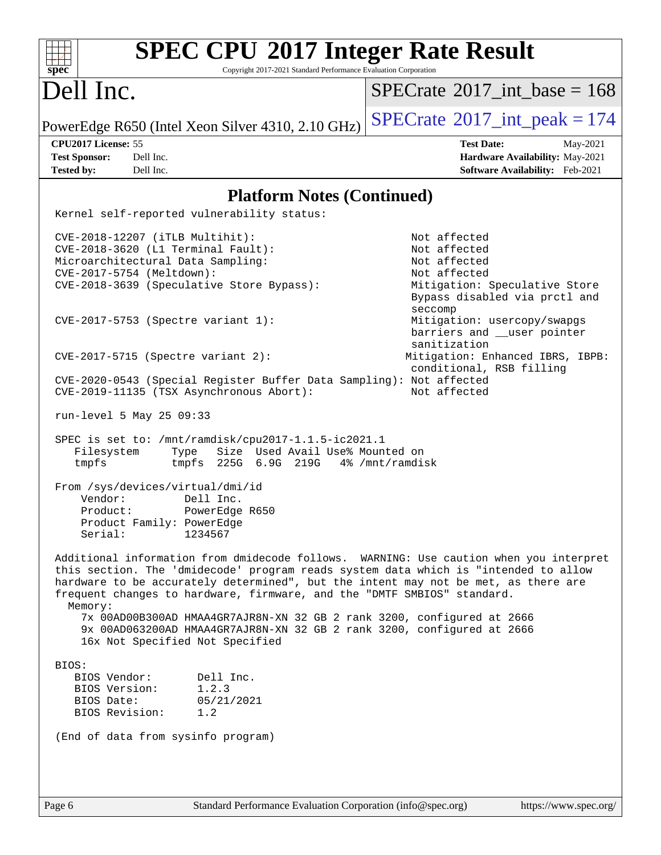| <b>SPEC CPU®2017 Integer Rate Result</b><br>spec<br>Copyright 2017-2021 Standard Performance Evaluation Corporation                                                                                                                                                                                                                                       |                                                                            |
|-----------------------------------------------------------------------------------------------------------------------------------------------------------------------------------------------------------------------------------------------------------------------------------------------------------------------------------------------------------|----------------------------------------------------------------------------|
| Dell Inc.                                                                                                                                                                                                                                                                                                                                                 | $SPECTate$ <sup>®</sup> 2017 int base = 168                                |
| PowerEdge R650 (Intel Xeon Silver 4310, 2.10 GHz)                                                                                                                                                                                                                                                                                                         | $SPECTate@2017_int\_peak = 174$                                            |
| CPU2017 License: 55                                                                                                                                                                                                                                                                                                                                       | <b>Test Date:</b><br>May-2021                                              |
| <b>Test Sponsor:</b><br>Dell Inc.                                                                                                                                                                                                                                                                                                                         | Hardware Availability: May-2021                                            |
| <b>Tested by:</b><br>Dell Inc.                                                                                                                                                                                                                                                                                                                            | Software Availability: Feb-2021                                            |
| <b>Platform Notes (Continued)</b>                                                                                                                                                                                                                                                                                                                         |                                                                            |
| Kernel self-reported vulnerability status:                                                                                                                                                                                                                                                                                                                |                                                                            |
| CVE-2018-12207 (iTLB Multihit):                                                                                                                                                                                                                                                                                                                           | Not affected                                                               |
| CVE-2018-3620 (L1 Terminal Fault):                                                                                                                                                                                                                                                                                                                        | Not affected                                                               |
| Microarchitectural Data Sampling:                                                                                                                                                                                                                                                                                                                         | Not affected                                                               |
| CVE-2017-5754 (Meltdown):                                                                                                                                                                                                                                                                                                                                 | Not affected                                                               |
| CVE-2018-3639 (Speculative Store Bypass):                                                                                                                                                                                                                                                                                                                 | Mitigation: Speculative Store<br>Bypass disabled via prctl and<br>seccomp  |
| CVE-2017-5753 (Spectre variant 1):                                                                                                                                                                                                                                                                                                                        | Mitigation: usercopy/swapgs<br>barriers and __user pointer<br>sanitization |
| $CVE-2017-5715$ (Spectre variant 2):                                                                                                                                                                                                                                                                                                                      | Mitigation: Enhanced IBRS, IBPB:<br>conditional, RSB filling               |
| CVE-2020-0543 (Special Register Buffer Data Sampling): Not affected<br>CVE-2019-11135 (TSX Asynchronous Abort):                                                                                                                                                                                                                                           | Not affected                                                               |
| run-level 5 May 25 09:33                                                                                                                                                                                                                                                                                                                                  |                                                                            |
| SPEC is set to: /mnt/ramdisk/cpu2017-1.1.5-ic2021.1<br>Size Used Avail Use% Mounted on<br>Filesystem<br>Type<br>tmpfs<br>tmpfs 225G 6.9G 219G                                                                                                                                                                                                             | 4% /mnt/ramdisk                                                            |
| From /sys/devices/virtual/dmi/id                                                                                                                                                                                                                                                                                                                          |                                                                            |
| Vendor:<br>Dell Inc.                                                                                                                                                                                                                                                                                                                                      |                                                                            |
| Product:<br>PowerEdge R650                                                                                                                                                                                                                                                                                                                                |                                                                            |
| Product Family: PowerEdge                                                                                                                                                                                                                                                                                                                                 |                                                                            |
| Serial:<br>1234567                                                                                                                                                                                                                                                                                                                                        |                                                                            |
| Additional information from dmidecode follows. WARNING: Use caution when you interpret<br>this section. The 'dmidecode' program reads system data which is "intended to allow<br>hardware to be accurately determined", but the intent may not be met, as there are<br>frequent changes to hardware, firmware, and the "DMTF SMBIOS" standard.<br>Memory: |                                                                            |
| 7x 00AD00B300AD HMAA4GR7AJR8N-XN 32 GB 2 rank 3200, configured at 2666<br>9x 00AD063200AD HMAA4GR7AJR8N-XN 32 GB 2 rank 3200, configured at 2666                                                                                                                                                                                                          |                                                                            |
| 16x Not Specified Not Specified                                                                                                                                                                                                                                                                                                                           |                                                                            |
| BIOS:                                                                                                                                                                                                                                                                                                                                                     |                                                                            |
| BIOS Vendor:<br>Dell Inc.<br>BIOS Version:<br>1.2.3                                                                                                                                                                                                                                                                                                       |                                                                            |
| BIOS Date:<br>05/21/2021                                                                                                                                                                                                                                                                                                                                  |                                                                            |
| BIOS Revision:<br>1.2                                                                                                                                                                                                                                                                                                                                     |                                                                            |
| (End of data from sysinfo program)                                                                                                                                                                                                                                                                                                                        |                                                                            |
|                                                                                                                                                                                                                                                                                                                                                           |                                                                            |
|                                                                                                                                                                                                                                                                                                                                                           |                                                                            |
|                                                                                                                                                                                                                                                                                                                                                           |                                                                            |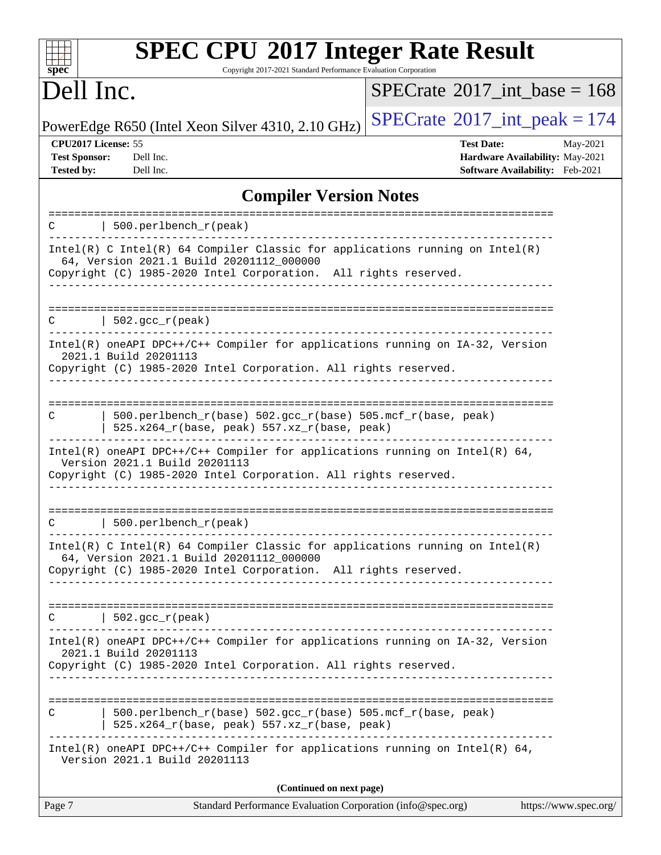| <b>SPEC CPU®2017 Integer Rate Result</b><br>Copyright 2017-2021 Standard Performance Evaluation Corporation<br>spec                                                                           |                                                                                                     |
|-----------------------------------------------------------------------------------------------------------------------------------------------------------------------------------------------|-----------------------------------------------------------------------------------------------------|
| Dell Inc.                                                                                                                                                                                     | $SPECrate^{\circledast}2017$ int base = 168                                                         |
| PowerEdge R650 (Intel Xeon Silver 4310, 2.10 GHz)                                                                                                                                             | $SPECTate@2017_int\_peak = 174$                                                                     |
| CPU2017 License: 55<br><b>Test Sponsor:</b><br>Dell Inc.<br><b>Tested by:</b><br>Dell Inc.                                                                                                    | <b>Test Date:</b><br>May-2021<br>Hardware Availability: May-2021<br>Software Availability: Feb-2021 |
| <b>Compiler Version Notes</b>                                                                                                                                                                 |                                                                                                     |
| 500.perlbench_r(peak)<br>C                                                                                                                                                                    |                                                                                                     |
| $Intel(R)$ C Intel(R) 64 Compiler Classic for applications running on Intel(R)<br>64, Version 2021.1 Build 20201112_000000<br>Copyright (C) 1985-2020 Intel Corporation. All rights reserved. |                                                                                                     |
| $502.$ gcc_r(peak)<br>С                                                                                                                                                                       |                                                                                                     |
| Intel(R) oneAPI DPC++/C++ Compiler for applications running on IA-32, Version<br>2021.1 Build 20201113<br>Copyright (C) 1985-2020 Intel Corporation. All rights reserved.                     |                                                                                                     |
| 500.perlbench_r(base) 502.gcc_r(base) 505.mcf_r(base, peak)<br>C<br>525.x264_r(base, peak) 557.xz_r(base, peak)                                                                               |                                                                                                     |
| $Intel(R)$ oneAPI DPC++/C++ Compiler for applications running on Intel(R) 64,<br>Version 2021.1 Build 20201113<br>Copyright (C) 1985-2020 Intel Corporation. All rights reserved.             |                                                                                                     |
| C<br>500.perlbench_r(peak)                                                                                                                                                                    |                                                                                                     |
| Intel(R) C Intel(R) 64 Compiler Classic for applications running on $Intel(R)$<br>64, Version 2021.1 Build 20201112_000000<br>Copyright (C) 1985-2020 Intel Corporation. All rights reserved. |                                                                                                     |
| $C$   502.gcc_r(peak)                                                                                                                                                                         |                                                                                                     |
| Intel(R) oneAPI DPC++/C++ Compiler for applications running on IA-32, Version<br>2021.1 Build 20201113<br>Copyright (C) 1985-2020 Intel Corporation. All rights reserved.                     |                                                                                                     |
| 500.perlbench_r(base) 502.gcc_r(base) 505.mcf_r(base, peak)<br>C<br>525.x264_r(base, peak) 557.xz_r(base, peak)                                                                               |                                                                                                     |
| $Intel(R)$ oneAPI DPC++/C++ Compiler for applications running on Intel(R) 64,<br>Version 2021.1 Build 20201113                                                                                |                                                                                                     |
| (Continued on next page)                                                                                                                                                                      |                                                                                                     |
| Page 7<br>Standard Performance Evaluation Corporation (info@spec.org)                                                                                                                         | https://www.spec.org/                                                                               |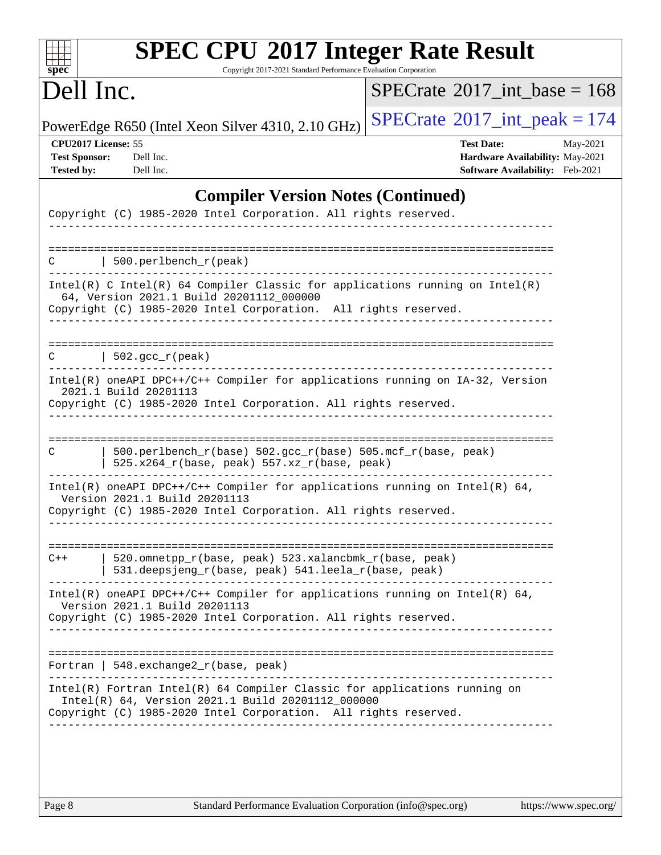| Dell Inc.                                                                                                                                                                                                             | $SPECrate^{\circledast}2017$ int base = 168                                                         |
|-----------------------------------------------------------------------------------------------------------------------------------------------------------------------------------------------------------------------|-----------------------------------------------------------------------------------------------------|
| PowerEdge R650 (Intel Xeon Silver 4310, 2.10 GHz)                                                                                                                                                                     | $SPECrate^{\circ}2017\_int\_peak = 174$                                                             |
| CPU2017 License: 55<br><b>Test Sponsor:</b><br>Dell Inc.<br><b>Tested by:</b><br>Dell Inc.                                                                                                                            | <b>Test Date:</b><br>May-2021<br>Hardware Availability: May-2021<br>Software Availability: Feb-2021 |
|                                                                                                                                                                                                                       | <b>Compiler Version Notes (Continued)</b>                                                           |
| Copyright (C) 1985-2020 Intel Corporation. All rights reserved.                                                                                                                                                       |                                                                                                     |
| 500.perlbench_r(peak)                                                                                                                                                                                                 |                                                                                                     |
| Intel(R) C Intel(R) 64 Compiler Classic for applications running on Intel(R)<br>64, Version 2021.1 Build 20201112_000000<br>Copyright (C) 1985-2020 Intel Corporation. All rights reserved.                           |                                                                                                     |
| $\vert$ 502.gcc_r(peak)<br>C.                                                                                                                                                                                         |                                                                                                     |
| Intel(R) oneAPI DPC++/C++ Compiler for applications running on IA-32, Version<br>2021.1 Build 20201113<br>Copyright (C) 1985-2020 Intel Corporation. All rights reserved.                                             |                                                                                                     |
| 500.perlbench_r(base) 502.gcc_r(base) 505.mcf_r(base, peak)<br>C<br>525.x264_r(base, peak) 557.xz_r(base, peak)                                                                                                       |                                                                                                     |
| Intel(R) oneAPI DPC++/C++ Compiler for applications running on Intel(R) $64$ ,<br>Version 2021.1 Build 20201113<br>Copyright (C) 1985-2020 Intel Corporation. All rights reserved.                                    |                                                                                                     |
| 520.omnetpp_r(base, peak) 523.xalancbmk_r(base, peak)<br>$C++$<br>531.deepsjeng_r(base, peak) 541.leela_r(base, peak)                                                                                                 |                                                                                                     |
| $Intel(R)$ oneAPI DPC++/C++ Compiler for applications running on Intel(R) 64,<br>Version 2021.1 Build 20201113<br>Copyright (C) 1985-2020 Intel Corporation. All rights reserved.<br>-------------------------------- |                                                                                                     |
| Fortran   548. exchange $2\lfloor r(\text{base}, \text{peak}) \rfloor$                                                                                                                                                | . _ _ _ _ _ _ _ _ _ _ _ _ _ _ _                                                                     |
| Intel(R) Fortran Intel(R) 64 Compiler Classic for applications running on<br>Intel(R) 64, Version 2021.1 Build 20201112_000000                                                                                        |                                                                                                     |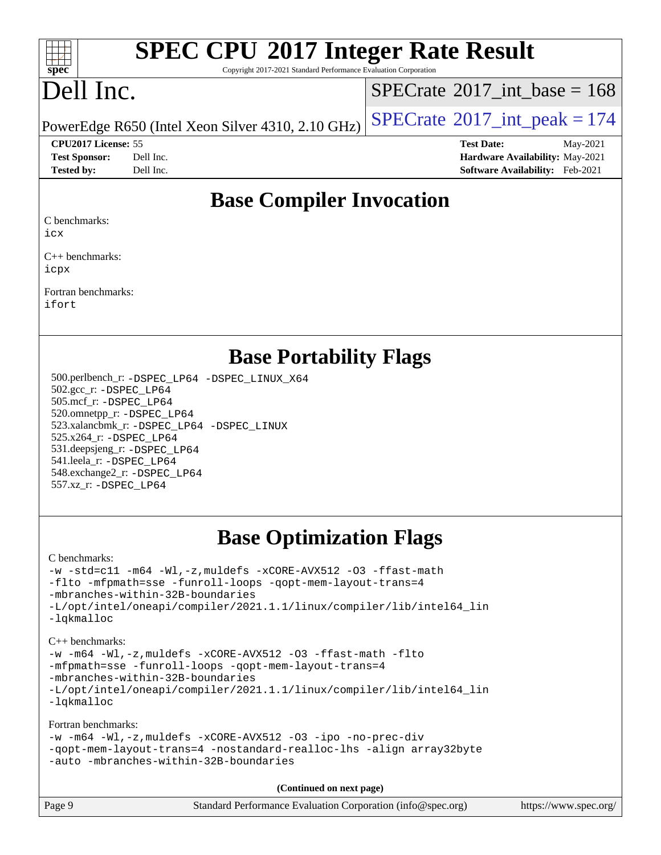

# **[SPEC CPU](http://www.spec.org/auto/cpu2017/Docs/result-fields.html#SPECCPU2017IntegerRateResult)[2017 Integer Rate Result](http://www.spec.org/auto/cpu2017/Docs/result-fields.html#SPECCPU2017IntegerRateResult)**

Copyright 2017-2021 Standard Performance Evaluation Corporation

# Dell Inc.

 $SPECTate$ <sup>®</sup>[2017\\_int\\_base =](http://www.spec.org/auto/cpu2017/Docs/result-fields.html#SPECrate2017intbase) 168

PowerEdge R650 (Intel Xeon Silver 4310, 2.10 GHz)  $\left|$  [SPECrate](http://www.spec.org/auto/cpu2017/Docs/result-fields.html#SPECrate2017intpeak)<sup>®</sup>[2017\\_int\\_peak = 1](http://www.spec.org/auto/cpu2017/Docs/result-fields.html#SPECrate2017intpeak)74

**[CPU2017 License:](http://www.spec.org/auto/cpu2017/Docs/result-fields.html#CPU2017License)** 55 **[Test Date:](http://www.spec.org/auto/cpu2017/Docs/result-fields.html#TestDate)** May-2021

**[Test Sponsor:](http://www.spec.org/auto/cpu2017/Docs/result-fields.html#TestSponsor)** Dell Inc. **[Hardware Availability:](http://www.spec.org/auto/cpu2017/Docs/result-fields.html#HardwareAvailability)** May-2021 **[Tested by:](http://www.spec.org/auto/cpu2017/Docs/result-fields.html#Testedby)** Dell Inc. **[Software Availability:](http://www.spec.org/auto/cpu2017/Docs/result-fields.html#SoftwareAvailability)** Feb-2021

### **[Base Compiler Invocation](http://www.spec.org/auto/cpu2017/Docs/result-fields.html#BaseCompilerInvocation)**

[C benchmarks](http://www.spec.org/auto/cpu2017/Docs/result-fields.html#Cbenchmarks):

[icx](http://www.spec.org/cpu2017/results/res2021q3/cpu2017-20210618-27087.flags.html#user_CCbase_intel_icx_fe2d28d19ae2a5db7c42fe0f2a2aed77cb715edd4aeb23434404a8be6683fe239869bb6ca8154ca98265c2e3b9226a719a0efe2953a4a7018c379b7010ccf087)

[C++ benchmarks:](http://www.spec.org/auto/cpu2017/Docs/result-fields.html#CXXbenchmarks) [icpx](http://www.spec.org/cpu2017/results/res2021q3/cpu2017-20210618-27087.flags.html#user_CXXbase_intel_icpx_1e918ed14c436bf4b9b7c8bcdd51d4539fc71b3df010bd1e9f8732d9c34c2b2914e48204a846820f3c0ebb4095dea797a5c30b458ac0b6dffac65d78f781f5ca)

[Fortran benchmarks](http://www.spec.org/auto/cpu2017/Docs/result-fields.html#Fortranbenchmarks): [ifort](http://www.spec.org/cpu2017/results/res2021q3/cpu2017-20210618-27087.flags.html#user_FCbase_intel_ifort_8111460550e3ca792625aed983ce982f94888b8b503583aa7ba2b8303487b4d8a21a13e7191a45c5fd58ff318f48f9492884d4413fa793fd88dd292cad7027ca)

### **[Base Portability Flags](http://www.spec.org/auto/cpu2017/Docs/result-fields.html#BasePortabilityFlags)**

 500.perlbench\_r: [-DSPEC\\_LP64](http://www.spec.org/cpu2017/results/res2021q3/cpu2017-20210618-27087.flags.html#b500.perlbench_r_basePORTABILITY_DSPEC_LP64) [-DSPEC\\_LINUX\\_X64](http://www.spec.org/cpu2017/results/res2021q3/cpu2017-20210618-27087.flags.html#b500.perlbench_r_baseCPORTABILITY_DSPEC_LINUX_X64) 502.gcc\_r: [-DSPEC\\_LP64](http://www.spec.org/cpu2017/results/res2021q3/cpu2017-20210618-27087.flags.html#suite_basePORTABILITY502_gcc_r_DSPEC_LP64) 505.mcf\_r: [-DSPEC\\_LP64](http://www.spec.org/cpu2017/results/res2021q3/cpu2017-20210618-27087.flags.html#suite_basePORTABILITY505_mcf_r_DSPEC_LP64) 520.omnetpp\_r: [-DSPEC\\_LP64](http://www.spec.org/cpu2017/results/res2021q3/cpu2017-20210618-27087.flags.html#suite_basePORTABILITY520_omnetpp_r_DSPEC_LP64) 523.xalancbmk\_r: [-DSPEC\\_LP64](http://www.spec.org/cpu2017/results/res2021q3/cpu2017-20210618-27087.flags.html#suite_basePORTABILITY523_xalancbmk_r_DSPEC_LP64) [-DSPEC\\_LINUX](http://www.spec.org/cpu2017/results/res2021q3/cpu2017-20210618-27087.flags.html#b523.xalancbmk_r_baseCXXPORTABILITY_DSPEC_LINUX) 525.x264\_r: [-DSPEC\\_LP64](http://www.spec.org/cpu2017/results/res2021q3/cpu2017-20210618-27087.flags.html#suite_basePORTABILITY525_x264_r_DSPEC_LP64) 531.deepsjeng\_r: [-DSPEC\\_LP64](http://www.spec.org/cpu2017/results/res2021q3/cpu2017-20210618-27087.flags.html#suite_basePORTABILITY531_deepsjeng_r_DSPEC_LP64) 541.leela\_r: [-DSPEC\\_LP64](http://www.spec.org/cpu2017/results/res2021q3/cpu2017-20210618-27087.flags.html#suite_basePORTABILITY541_leela_r_DSPEC_LP64) 548.exchange2\_r: [-DSPEC\\_LP64](http://www.spec.org/cpu2017/results/res2021q3/cpu2017-20210618-27087.flags.html#suite_basePORTABILITY548_exchange2_r_DSPEC_LP64) 557.xz\_r: [-DSPEC\\_LP64](http://www.spec.org/cpu2017/results/res2021q3/cpu2017-20210618-27087.flags.html#suite_basePORTABILITY557_xz_r_DSPEC_LP64)

## **[Base Optimization Flags](http://www.spec.org/auto/cpu2017/Docs/result-fields.html#BaseOptimizationFlags)**

[C benchmarks](http://www.spec.org/auto/cpu2017/Docs/result-fields.html#Cbenchmarks):

```
-w -std=c11 -m64 -Wl,-z,muldefs -xCORE-AVX512 -O3 -ffast-math
-flto -mfpmath=sse -funroll-loops -qopt-mem-layout-trans=4
-mbranches-within-32B-boundaries
-L/opt/intel/oneapi/compiler/2021.1.1/linux/compiler/lib/intel64_lin
-lqkmalloc
```
[C++ benchmarks:](http://www.spec.org/auto/cpu2017/Docs/result-fields.html#CXXbenchmarks) [-w](http://www.spec.org/cpu2017/results/res2021q3/cpu2017-20210618-27087.flags.html#user_CXXbase_supress_warning_66fb2c4e5c1dd10f38bdd29623979399e5ae75ae6e5453792d82ef66afed381df4a8602f92cac8d2ea0fffa7b93b4b1ccb9ecad4af01c9b2fe338b2082ae3859) [-m64](http://www.spec.org/cpu2017/results/res2021q3/cpu2017-20210618-27087.flags.html#user_CXXbase_m64-icc) [-Wl,-z,muldefs](http://www.spec.org/cpu2017/results/res2021q3/cpu2017-20210618-27087.flags.html#user_CXXbase_link_force_multiple1_b4cbdb97b34bdee9ceefcfe54f4c8ea74255f0b02a4b23e853cdb0e18eb4525ac79b5a88067c842dd0ee6996c24547a27a4b99331201badda8798ef8a743f577) [-xCORE-AVX512](http://www.spec.org/cpu2017/results/res2021q3/cpu2017-20210618-27087.flags.html#user_CXXbase_f-xCORE-AVX512) [-O3](http://www.spec.org/cpu2017/results/res2021q3/cpu2017-20210618-27087.flags.html#user_CXXbase_f-O3) [-ffast-math](http://www.spec.org/cpu2017/results/res2021q3/cpu2017-20210618-27087.flags.html#user_CXXbase_f-ffast-math) [-flto](http://www.spec.org/cpu2017/results/res2021q3/cpu2017-20210618-27087.flags.html#user_CXXbase_f-flto) [-mfpmath=sse](http://www.spec.org/cpu2017/results/res2021q3/cpu2017-20210618-27087.flags.html#user_CXXbase_f-mfpmath_70eb8fac26bde974f8ab713bc9086c5621c0b8d2f6c86f38af0bd7062540daf19db5f3a066d8c6684be05d84c9b6322eb3b5be6619d967835195b93d6c02afa1) [-funroll-loops](http://www.spec.org/cpu2017/results/res2021q3/cpu2017-20210618-27087.flags.html#user_CXXbase_f-funroll-loops) [-qopt-mem-layout-trans=4](http://www.spec.org/cpu2017/results/res2021q3/cpu2017-20210618-27087.flags.html#user_CXXbase_f-qopt-mem-layout-trans_fa39e755916c150a61361b7846f310bcdf6f04e385ef281cadf3647acec3f0ae266d1a1d22d972a7087a248fd4e6ca390a3634700869573d231a252c784941a8) [-mbranches-within-32B-boundaries](http://www.spec.org/cpu2017/results/res2021q3/cpu2017-20210618-27087.flags.html#user_CXXbase_f-mbranches-within-32B-boundaries) [-L/opt/intel/oneapi/compiler/2021.1.1/linux/compiler/lib/intel64\\_lin](http://www.spec.org/cpu2017/results/res2021q3/cpu2017-20210618-27087.flags.html#user_CXXbase_linkpath_f3ac96bc44eb3356c66274e76f12ce7989555e6431aa425d8bf37251b5a0a8e4f20d385a762420f3e0cdf627bb737484454017ddfa67f55a42ce17058c8be12d) [-lqkmalloc](http://www.spec.org/cpu2017/results/res2021q3/cpu2017-20210618-27087.flags.html#user_CXXbase_qkmalloc_link_lib_79a818439969f771c6bc311cfd333c00fc099dad35c030f5aab9dda831713d2015205805422f83de8875488a2991c0a156aaa600e1f9138f8fc37004abc96dc5)

[Fortran benchmarks](http://www.spec.org/auto/cpu2017/Docs/result-fields.html#Fortranbenchmarks):

```
-w -m64 -Wl,-z,muldefs -xCORE-AVX512 -O3 -ipo -no-prec-div
-qopt-mem-layout-trans=4 -nostandard-realloc-lhs -align array32byte
-auto -mbranches-within-32B-boundaries
```
**(Continued on next page)**

| Page 9 | Standard Performance Evaluation Corporation (info@spec.org) | https://www.spec.org/ |
|--------|-------------------------------------------------------------|-----------------------|
|--------|-------------------------------------------------------------|-----------------------|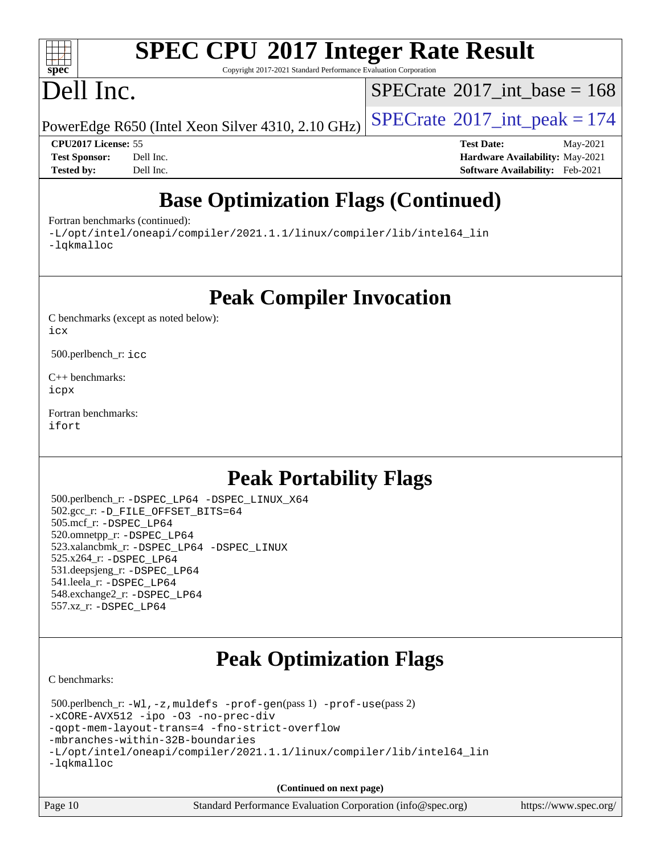#### $+\ +$ **[spec](http://www.spec.org/)**

# **[SPEC CPU](http://www.spec.org/auto/cpu2017/Docs/result-fields.html#SPECCPU2017IntegerRateResult)[2017 Integer Rate Result](http://www.spec.org/auto/cpu2017/Docs/result-fields.html#SPECCPU2017IntegerRateResult)**

Copyright 2017-2021 Standard Performance Evaluation Corporation

# Dell Inc.

 $SPECTate$ <sup>®</sup>[2017\\_int\\_base =](http://www.spec.org/auto/cpu2017/Docs/result-fields.html#SPECrate2017intbase) 168

PowerEdge R650 (Intel Xeon Silver 4310, 2.10 GHz)  $\left|$  [SPECrate](http://www.spec.org/auto/cpu2017/Docs/result-fields.html#SPECrate2017intpeak)<sup>®</sup>[2017\\_int\\_peak = 1](http://www.spec.org/auto/cpu2017/Docs/result-fields.html#SPECrate2017intpeak)74

**[CPU2017 License:](http://www.spec.org/auto/cpu2017/Docs/result-fields.html#CPU2017License)** 55 **[Test Date:](http://www.spec.org/auto/cpu2017/Docs/result-fields.html#TestDate)** May-2021 **[Test Sponsor:](http://www.spec.org/auto/cpu2017/Docs/result-fields.html#TestSponsor)** Dell Inc. **[Hardware Availability:](http://www.spec.org/auto/cpu2017/Docs/result-fields.html#HardwareAvailability)** May-2021 **[Tested by:](http://www.spec.org/auto/cpu2017/Docs/result-fields.html#Testedby)** Dell Inc. **[Software Availability:](http://www.spec.org/auto/cpu2017/Docs/result-fields.html#SoftwareAvailability)** Feb-2021

# **[Base Optimization Flags \(Continued\)](http://www.spec.org/auto/cpu2017/Docs/result-fields.html#BaseOptimizationFlags)**

[Fortran benchmarks](http://www.spec.org/auto/cpu2017/Docs/result-fields.html#Fortranbenchmarks) (continued):

[-L/opt/intel/oneapi/compiler/2021.1.1/linux/compiler/lib/intel64\\_lin](http://www.spec.org/cpu2017/results/res2021q3/cpu2017-20210618-27087.flags.html#user_FCbase_linkpath_f3ac96bc44eb3356c66274e76f12ce7989555e6431aa425d8bf37251b5a0a8e4f20d385a762420f3e0cdf627bb737484454017ddfa67f55a42ce17058c8be12d) [-lqkmalloc](http://www.spec.org/cpu2017/results/res2021q3/cpu2017-20210618-27087.flags.html#user_FCbase_qkmalloc_link_lib_79a818439969f771c6bc311cfd333c00fc099dad35c030f5aab9dda831713d2015205805422f83de8875488a2991c0a156aaa600e1f9138f8fc37004abc96dc5)

**[Peak Compiler Invocation](http://www.spec.org/auto/cpu2017/Docs/result-fields.html#PeakCompilerInvocation)**

[C benchmarks \(except as noted below\)](http://www.spec.org/auto/cpu2017/Docs/result-fields.html#Cbenchmarksexceptasnotedbelow): [icx](http://www.spec.org/cpu2017/results/res2021q3/cpu2017-20210618-27087.flags.html#user_CCpeak_intel_icx_fe2d28d19ae2a5db7c42fe0f2a2aed77cb715edd4aeb23434404a8be6683fe239869bb6ca8154ca98265c2e3b9226a719a0efe2953a4a7018c379b7010ccf087)

500.perlbench\_r: [icc](http://www.spec.org/cpu2017/results/res2021q3/cpu2017-20210618-27087.flags.html#user_peakCCLD500_perlbench_r_intel_icc_66fc1ee009f7361af1fbd72ca7dcefbb700085f36577c54f309893dd4ec40d12360134090235512931783d35fd58c0460139e722d5067c5574d8eaf2b3e37e92)

[C++ benchmarks:](http://www.spec.org/auto/cpu2017/Docs/result-fields.html#CXXbenchmarks) [icpx](http://www.spec.org/cpu2017/results/res2021q3/cpu2017-20210618-27087.flags.html#user_CXXpeak_intel_icpx_1e918ed14c436bf4b9b7c8bcdd51d4539fc71b3df010bd1e9f8732d9c34c2b2914e48204a846820f3c0ebb4095dea797a5c30b458ac0b6dffac65d78f781f5ca)

[Fortran benchmarks](http://www.spec.org/auto/cpu2017/Docs/result-fields.html#Fortranbenchmarks): [ifort](http://www.spec.org/cpu2017/results/res2021q3/cpu2017-20210618-27087.flags.html#user_FCpeak_intel_ifort_8111460550e3ca792625aed983ce982f94888b8b503583aa7ba2b8303487b4d8a21a13e7191a45c5fd58ff318f48f9492884d4413fa793fd88dd292cad7027ca)

# **[Peak Portability Flags](http://www.spec.org/auto/cpu2017/Docs/result-fields.html#PeakPortabilityFlags)**

 500.perlbench\_r: [-DSPEC\\_LP64](http://www.spec.org/cpu2017/results/res2021q3/cpu2017-20210618-27087.flags.html#b500.perlbench_r_peakPORTABILITY_DSPEC_LP64) [-DSPEC\\_LINUX\\_X64](http://www.spec.org/cpu2017/results/res2021q3/cpu2017-20210618-27087.flags.html#b500.perlbench_r_peakCPORTABILITY_DSPEC_LINUX_X64) 502.gcc\_r: [-D\\_FILE\\_OFFSET\\_BITS=64](http://www.spec.org/cpu2017/results/res2021q3/cpu2017-20210618-27087.flags.html#user_peakPORTABILITY502_gcc_r_file_offset_bits_64_5ae949a99b284ddf4e95728d47cb0843d81b2eb0e18bdfe74bbf0f61d0b064f4bda2f10ea5eb90e1dcab0e84dbc592acfc5018bc955c18609f94ddb8d550002c) 505.mcf\_r: [-DSPEC\\_LP64](http://www.spec.org/cpu2017/results/res2021q3/cpu2017-20210618-27087.flags.html#suite_peakPORTABILITY505_mcf_r_DSPEC_LP64) 520.omnetpp\_r: [-DSPEC\\_LP64](http://www.spec.org/cpu2017/results/res2021q3/cpu2017-20210618-27087.flags.html#suite_peakPORTABILITY520_omnetpp_r_DSPEC_LP64) 523.xalancbmk\_r: [-DSPEC\\_LP64](http://www.spec.org/cpu2017/results/res2021q3/cpu2017-20210618-27087.flags.html#suite_peakPORTABILITY523_xalancbmk_r_DSPEC_LP64) [-DSPEC\\_LINUX](http://www.spec.org/cpu2017/results/res2021q3/cpu2017-20210618-27087.flags.html#b523.xalancbmk_r_peakCXXPORTABILITY_DSPEC_LINUX) 525.x264\_r: [-DSPEC\\_LP64](http://www.spec.org/cpu2017/results/res2021q3/cpu2017-20210618-27087.flags.html#suite_peakPORTABILITY525_x264_r_DSPEC_LP64) 531.deepsjeng\_r: [-DSPEC\\_LP64](http://www.spec.org/cpu2017/results/res2021q3/cpu2017-20210618-27087.flags.html#suite_peakPORTABILITY531_deepsjeng_r_DSPEC_LP64) 541.leela\_r: [-DSPEC\\_LP64](http://www.spec.org/cpu2017/results/res2021q3/cpu2017-20210618-27087.flags.html#suite_peakPORTABILITY541_leela_r_DSPEC_LP64) 548.exchange2\_r: [-DSPEC\\_LP64](http://www.spec.org/cpu2017/results/res2021q3/cpu2017-20210618-27087.flags.html#suite_peakPORTABILITY548_exchange2_r_DSPEC_LP64) 557.xz\_r: [-DSPEC\\_LP64](http://www.spec.org/cpu2017/results/res2021q3/cpu2017-20210618-27087.flags.html#suite_peakPORTABILITY557_xz_r_DSPEC_LP64)

# **[Peak Optimization Flags](http://www.spec.org/auto/cpu2017/Docs/result-fields.html#PeakOptimizationFlags)**

[C benchmarks](http://www.spec.org/auto/cpu2017/Docs/result-fields.html#Cbenchmarks):

 500.perlbench\_r: [-Wl,-z,muldefs](http://www.spec.org/cpu2017/results/res2021q3/cpu2017-20210618-27087.flags.html#user_peakEXTRA_LDFLAGS500_perlbench_r_link_force_multiple1_b4cbdb97b34bdee9ceefcfe54f4c8ea74255f0b02a4b23e853cdb0e18eb4525ac79b5a88067c842dd0ee6996c24547a27a4b99331201badda8798ef8a743f577) [-prof-gen](http://www.spec.org/cpu2017/results/res2021q3/cpu2017-20210618-27087.flags.html#user_peakPASS1_CFLAGSPASS1_LDFLAGS500_perlbench_r_prof_gen_5aa4926d6013ddb2a31985c654b3eb18169fc0c6952a63635c234f711e6e63dd76e94ad52365559451ec499a2cdb89e4dc58ba4c67ef54ca681ffbe1461d6b36)(pass 1) [-prof-use](http://www.spec.org/cpu2017/results/res2021q3/cpu2017-20210618-27087.flags.html#user_peakPASS2_CFLAGSPASS2_LDFLAGS500_perlbench_r_prof_use_1a21ceae95f36a2b53c25747139a6c16ca95bd9def2a207b4f0849963b97e94f5260e30a0c64f4bb623698870e679ca08317ef8150905d41bd88c6f78df73f19)(pass 2) [-xCORE-AVX512](http://www.spec.org/cpu2017/results/res2021q3/cpu2017-20210618-27087.flags.html#user_peakCOPTIMIZE500_perlbench_r_f-xCORE-AVX512) [-ipo](http://www.spec.org/cpu2017/results/res2021q3/cpu2017-20210618-27087.flags.html#user_peakCOPTIMIZE500_perlbench_r_f-ipo) [-O3](http://www.spec.org/cpu2017/results/res2021q3/cpu2017-20210618-27087.flags.html#user_peakCOPTIMIZE500_perlbench_r_f-O3) [-no-prec-div](http://www.spec.org/cpu2017/results/res2021q3/cpu2017-20210618-27087.flags.html#user_peakCOPTIMIZE500_perlbench_r_f-no-prec-div) [-qopt-mem-layout-trans=4](http://www.spec.org/cpu2017/results/res2021q3/cpu2017-20210618-27087.flags.html#user_peakCOPTIMIZE500_perlbench_r_f-qopt-mem-layout-trans_fa39e755916c150a61361b7846f310bcdf6f04e385ef281cadf3647acec3f0ae266d1a1d22d972a7087a248fd4e6ca390a3634700869573d231a252c784941a8) [-fno-strict-overflow](http://www.spec.org/cpu2017/results/res2021q3/cpu2017-20210618-27087.flags.html#user_peakEXTRA_OPTIMIZE500_perlbench_r_f-fno-strict-overflow) [-mbranches-within-32B-boundaries](http://www.spec.org/cpu2017/results/res2021q3/cpu2017-20210618-27087.flags.html#user_peakEXTRA_COPTIMIZE500_perlbench_r_f-mbranches-within-32B-boundaries) [-L/opt/intel/oneapi/compiler/2021.1.1/linux/compiler/lib/intel64\\_lin](http://www.spec.org/cpu2017/results/res2021q3/cpu2017-20210618-27087.flags.html#user_peakEXTRA_LIBS500_perlbench_r_linkpath_f3ac96bc44eb3356c66274e76f12ce7989555e6431aa425d8bf37251b5a0a8e4f20d385a762420f3e0cdf627bb737484454017ddfa67f55a42ce17058c8be12d) [-lqkmalloc](http://www.spec.org/cpu2017/results/res2021q3/cpu2017-20210618-27087.flags.html#user_peakEXTRA_LIBS500_perlbench_r_qkmalloc_link_lib_79a818439969f771c6bc311cfd333c00fc099dad35c030f5aab9dda831713d2015205805422f83de8875488a2991c0a156aaa600e1f9138f8fc37004abc96dc5)

**(Continued on next page)**

| Page 10 | Standard Performance Evaluation Corporation (info@spec.org) | https://www.spec.org/ |
|---------|-------------------------------------------------------------|-----------------------|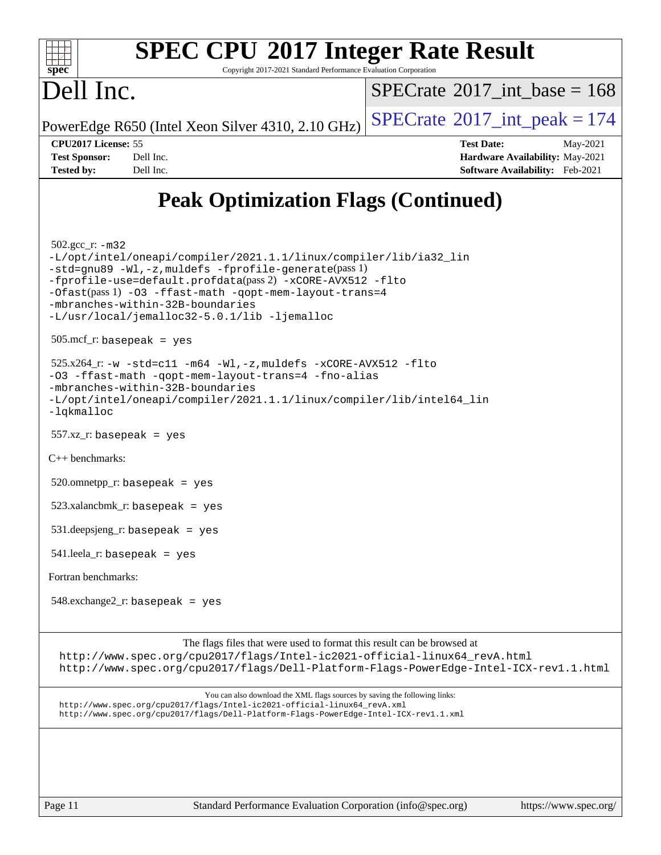

# **[SPEC CPU](http://www.spec.org/auto/cpu2017/Docs/result-fields.html#SPECCPU2017IntegerRateResult)[2017 Integer Rate Result](http://www.spec.org/auto/cpu2017/Docs/result-fields.html#SPECCPU2017IntegerRateResult)**

Copyright 2017-2021 Standard Performance Evaluation Corporation

# Dell Inc.

 $SPECTate$ <sup>®</sup>[2017\\_int\\_base =](http://www.spec.org/auto/cpu2017/Docs/result-fields.html#SPECrate2017intbase) 168

PowerEdge R650 (Intel Xeon Silver 4310, 2.10 GHz)  $\left|$  [SPECrate](http://www.spec.org/auto/cpu2017/Docs/result-fields.html#SPECrate2017intpeak)<sup>®</sup>[2017\\_int\\_peak = 1](http://www.spec.org/auto/cpu2017/Docs/result-fields.html#SPECrate2017intpeak)74

**[CPU2017 License:](http://www.spec.org/auto/cpu2017/Docs/result-fields.html#CPU2017License)** 55 **[Test Date:](http://www.spec.org/auto/cpu2017/Docs/result-fields.html#TestDate)** May-2021 **[Test Sponsor:](http://www.spec.org/auto/cpu2017/Docs/result-fields.html#TestSponsor)** Dell Inc. **[Hardware Availability:](http://www.spec.org/auto/cpu2017/Docs/result-fields.html#HardwareAvailability)** May-2021 **[Tested by:](http://www.spec.org/auto/cpu2017/Docs/result-fields.html#Testedby)** Dell Inc. **[Software Availability:](http://www.spec.org/auto/cpu2017/Docs/result-fields.html#SoftwareAvailability)** Feb-2021

# **[Peak Optimization Flags \(Continued\)](http://www.spec.org/auto/cpu2017/Docs/result-fields.html#PeakOptimizationFlags)**

502.gcc\_r: [-m32](http://www.spec.org/cpu2017/results/res2021q3/cpu2017-20210618-27087.flags.html#user_peakCCLD502_gcc_r_m32-icc)

[-L/opt/intel/oneapi/compiler/2021.1.1/linux/compiler/lib/ia32\\_lin](http://www.spec.org/cpu2017/results/res2021q3/cpu2017-20210618-27087.flags.html#user_peakCCLD502_gcc_r_linkpath_48852f4866bdefaecc4130e6e65c91d213b08e99e37858164f561afe78c31bff13803d278df34556ae75548cb17efd588271966a116ddc0b0983c2c9a95c4f41) [-std=gnu89](http://www.spec.org/cpu2017/results/res2021q3/cpu2017-20210618-27087.flags.html#user_peakCCLD502_gcc_r_f-std_f3cc2e520142451d42b8d64ee452c6877603de867a66777769b4e3f9b376c2a8742d66df6a4ffb5b483abd54df63aab35a2f4fe1181eb389a18cdcc50fd950e3) [-Wl,-z,muldefs](http://www.spec.org/cpu2017/results/res2021q3/cpu2017-20210618-27087.flags.html#user_peakEXTRA_LDFLAGS502_gcc_r_link_force_multiple1_b4cbdb97b34bdee9ceefcfe54f4c8ea74255f0b02a4b23e853cdb0e18eb4525ac79b5a88067c842dd0ee6996c24547a27a4b99331201badda8798ef8a743f577) [-fprofile-generate](http://www.spec.org/cpu2017/results/res2021q3/cpu2017-20210618-27087.flags.html#user_peakPASS1_CFLAGSPASS1_LDFLAGS502_gcc_r_fprofile-generate)(pass 1) [-fprofile-use=default.profdata](http://www.spec.org/cpu2017/results/res2021q3/cpu2017-20210618-27087.flags.html#user_peakPASS2_CFLAGSPASS2_LDFLAGS502_gcc_r_fprofile-use_56aeee182b92ec249f9670f17c9b8e7d83fe2d25538e35a2cf64c434b579a2235a8b8fc66ef5678d24461366bbab9d486c870d8a72905233fc08e43eefe3cd80)(pass 2) [-xCORE-AVX512](http://www.spec.org/cpu2017/results/res2021q3/cpu2017-20210618-27087.flags.html#user_peakCOPTIMIZEPASS1_CFLAGSPASS1_LDFLAGS502_gcc_r_f-xCORE-AVX512) [-flto](http://www.spec.org/cpu2017/results/res2021q3/cpu2017-20210618-27087.flags.html#user_peakCOPTIMIZEPASS1_CFLAGSPASS1_LDFLAGS502_gcc_r_f-flto) [-Ofast](http://www.spec.org/cpu2017/results/res2021q3/cpu2017-20210618-27087.flags.html#user_peakPASS1_CFLAGSPASS1_LDFLAGS502_gcc_r_f-Ofast)(pass 1) [-O3](http://www.spec.org/cpu2017/results/res2021q3/cpu2017-20210618-27087.flags.html#user_peakCOPTIMIZE502_gcc_r_f-O3) [-ffast-math](http://www.spec.org/cpu2017/results/res2021q3/cpu2017-20210618-27087.flags.html#user_peakCOPTIMIZE502_gcc_r_f-ffast-math) [-qopt-mem-layout-trans=4](http://www.spec.org/cpu2017/results/res2021q3/cpu2017-20210618-27087.flags.html#user_peakCOPTIMIZE502_gcc_r_f-qopt-mem-layout-trans_fa39e755916c150a61361b7846f310bcdf6f04e385ef281cadf3647acec3f0ae266d1a1d22d972a7087a248fd4e6ca390a3634700869573d231a252c784941a8) [-mbranches-within-32B-boundaries](http://www.spec.org/cpu2017/results/res2021q3/cpu2017-20210618-27087.flags.html#user_peakEXTRA_COPTIMIZE502_gcc_r_f-mbranches-within-32B-boundaries) [-L/usr/local/jemalloc32-5.0.1/lib](http://www.spec.org/cpu2017/results/res2021q3/cpu2017-20210618-27087.flags.html#user_peakEXTRA_LIBS502_gcc_r_jemalloc_link_path32_1_3ce7b59db3b357dbaf7ad791266c9ba04a7e4933c209d6be2abbddfa003f7b11a662224df663b38de6e5da607f395338b5ea7f15fbbebbfcf43a38f170721399) [-ljemalloc](http://www.spec.org/cpu2017/results/res2021q3/cpu2017-20210618-27087.flags.html#user_peakEXTRA_LIBS502_gcc_r_jemalloc_link_lib_d1249b907c500fa1c0672f44f562e3d0f79738ae9e3c4a9c376d49f265a04b9c99b167ecedbf6711b3085be911c67ff61f150a17b3472be731631ba4d0471706) 505.mcf\_r: basepeak = yes

 $525.x264$ \_r:  $-w$   $-std= c11$   $-m64$   $-Wl$ ,  $-z$ , muldefs  $-xCORE-AVX512$   $-flto$ 

[-O3](http://www.spec.org/cpu2017/results/res2021q3/cpu2017-20210618-27087.flags.html#user_peakCOPTIMIZE525_x264_r_f-O3) [-ffast-math](http://www.spec.org/cpu2017/results/res2021q3/cpu2017-20210618-27087.flags.html#user_peakCOPTIMIZE525_x264_r_f-ffast-math) [-qopt-mem-layout-trans=4](http://www.spec.org/cpu2017/results/res2021q3/cpu2017-20210618-27087.flags.html#user_peakCOPTIMIZE525_x264_r_f-qopt-mem-layout-trans_fa39e755916c150a61361b7846f310bcdf6f04e385ef281cadf3647acec3f0ae266d1a1d22d972a7087a248fd4e6ca390a3634700869573d231a252c784941a8) [-fno-alias](http://www.spec.org/cpu2017/results/res2021q3/cpu2017-20210618-27087.flags.html#user_peakEXTRA_OPTIMIZE525_x264_r_f-no-alias_77dbac10d91cbfe898fbf4a29d1b29b694089caa623bdd1baccc9957d4edbe8d106c0b357e2748a65b44fc9e83d78098bb898077f3fe92f9faf24f7bd4a07ed7) [-mbranches-within-32B-boundaries](http://www.spec.org/cpu2017/results/res2021q3/cpu2017-20210618-27087.flags.html#user_peakEXTRA_COPTIMIZE525_x264_r_f-mbranches-within-32B-boundaries) [-L/opt/intel/oneapi/compiler/2021.1.1/linux/compiler/lib/intel64\\_lin](http://www.spec.org/cpu2017/results/res2021q3/cpu2017-20210618-27087.flags.html#user_peakEXTRA_LIBS525_x264_r_linkpath_f3ac96bc44eb3356c66274e76f12ce7989555e6431aa425d8bf37251b5a0a8e4f20d385a762420f3e0cdf627bb737484454017ddfa67f55a42ce17058c8be12d) [-lqkmalloc](http://www.spec.org/cpu2017/results/res2021q3/cpu2017-20210618-27087.flags.html#user_peakEXTRA_LIBS525_x264_r_qkmalloc_link_lib_79a818439969f771c6bc311cfd333c00fc099dad35c030f5aab9dda831713d2015205805422f83de8875488a2991c0a156aaa600e1f9138f8fc37004abc96dc5)

557.xz\_r: basepeak = yes

[C++ benchmarks:](http://www.spec.org/auto/cpu2017/Docs/result-fields.html#CXXbenchmarks)

 $520.$ omnetpp\_r: basepeak = yes

523.xalancbmk\_r: basepeak = yes

531.deepsjeng\_r: basepeak = yes

541.leela\_r: basepeak = yes

[Fortran benchmarks](http://www.spec.org/auto/cpu2017/Docs/result-fields.html#Fortranbenchmarks):

 $548$ .exchange $2$ \_r: basepeak = yes

[The flags files that were used to format this result can be browsed at](tmsearch)

[http://www.spec.org/cpu2017/flags/Intel-ic2021-official-linux64\\_revA.html](http://www.spec.org/cpu2017/flags/Intel-ic2021-official-linux64_revA.html) <http://www.spec.org/cpu2017/flags/Dell-Platform-Flags-PowerEdge-Intel-ICX-rev1.1.html>

[You can also download the XML flags sources by saving the following links:](tmsearch) [http://www.spec.org/cpu2017/flags/Intel-ic2021-official-linux64\\_revA.xml](http://www.spec.org/cpu2017/flags/Intel-ic2021-official-linux64_revA.xml) <http://www.spec.org/cpu2017/flags/Dell-Platform-Flags-PowerEdge-Intel-ICX-rev1.1.xml>